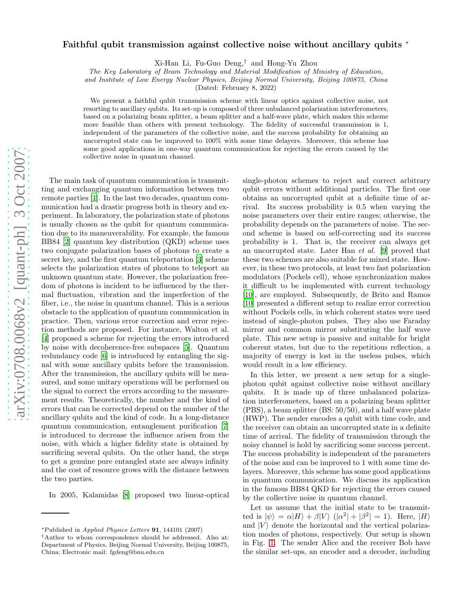## arXiv:0708.0068v2 [quant-ph] 3 Oct 2007 [arXiv:0708.0068v2 \[quant-ph\] 3 Oct 2007](http://arxiv.org/abs/0708.0068v2)

## Faithful qubit transmission against collective noise without ancillary qubits <sup>∗</sup>

Xi-Han Li, Fu-Guo Deng,† and Hong-Yu Zhou

The Key Laboratory of Beam Technology and Material Modification of Ministry of Education,

and Institute of Low Energy Nuclear Physics, Beijing Normal University, Beijing 100875, China

(Dated: February 8, 2022)

We present a faithful qubit transmission scheme with linear optics against collective noise, not resorting to ancillary qubits. Its set-up is composed of three unbalanced polarization interferometers, based on a polarizing beam splitter, a beam splitter and a half-wave plate, which makes this scheme more feasible than others with present technology. The fidelity of successful transmission is 1, independent of the parameters of the collective noise, and the success probability for obtaining an uncorrupted state can be improved to 100% with some time delayers. Moreover, this scheme has some good applications in one-way quantum communication for rejecting the errors caused by the collective noise in quantum channel.

ting and exchanging quantum information between two remote parties [\[1\]](#page-2-0). In the last two decades, quantum communication had a drastic progress both in theory and experiment. In laboratory, the polarization state of photons is usually chosen as the qubit for quantum communication due to its maneuverability. For example, the famous BB84 [\[2\]](#page-2-1) quantum key distribution (QKD) scheme uses two conjugate polarization bases of photons to create a secret key, and the first quantum teleportation [\[3](#page-2-2)] scheme selects the polarization states of photons to teleport an unknown quantum state. However, the polarization freedom of photons is incident to be influenced by the thermal fluctuation, vibration and the imperfection of the fiber, i.e., the noise in quantum channel. This is a serious obstacle to the application of quantum communication in practice. Then, various error correction and error rejection methods are proposed. For instance, Walton et al. [\[4\]](#page-2-3) proposed a scheme for rejecting the errors introduced by noise with decoherence-free subspaces [\[5](#page-2-4)]. Quantum redundancy code [\[6\]](#page-2-5) is introduced by entangling the signal with some ancillary qubits before the transmission. After the transmission, the ancillary qubits will be measured, and some unitary operations will be performed on the signal to correct the errors according to the measurement results. Theoretically, the number and the kind of errors that can be corrected depend on the number of the ancillary qubits and the kind of code. In a long-distance quantum communication, entanglement purification [\[7](#page-2-6)] is introduced to decrease the influence arisen from the noise, with which a higher fidelity state is obtained by sacrificing several qubits. On the other hand, the steps to get a genuine pure entangled state are always infinity and the cost of resource grows with the distance between the two parties.

The main task of quantum communication is transmit-

In 2005, Kalamidas [\[8](#page-2-7)] proposed two linear-optical

single-photon schemes to reject and correct arbitrary qubit errors without additional particles. The first one obtains an uncorrupted qubit at a definite time of arrival. Its success probability is 0.5 when varying the noise parameters over their entire ranges; otherwise, the probability depends on the parameters of noise. The second scheme is based on self-correcting and its success probability is 1. That is, the receiver can always get an uncorrupted state. Later Han et al. [\[9](#page-2-8)] proved that these two schemes are also suitable for mixed state. However, in these two protocols, at least two fast polarization modulators (Pockels cell), whose synchronization makes it difficult to be implemented with current technology [\[10\]](#page-2-9), are employed. Subsequently, de Brito and Ramos [\[10\]](#page-2-9) presented a different setup to realize error correction without Pockels cells, in which coherent states were used instead of single-photon pulses. They also use Faraday mirror and common mirror substituting the half wave plate. This new setup is passive and suitable for bright coherent states, but due to the repetitious reflection, a majority of energy is lost in the useless pulses, which would result in a low efficiency.

In this letter, we present a new setup for a singlephoton qubit against collective noise without ancillary qubits. It is made up of three unbalanced polarization interferometers, based on a polarizing beam splitter (PBS), a beam splitter (BS: 50/50), and a half wave plate (HWP). The sender encodes a qubit with time code, and the receiver can obtain an uncorrupted state in a definite time of arrival. The fidelity of transmission through the noisy channel is hold by sacrificing some success percent. The success probability is independent of the parameters of the noise and can be improved to 1 with some time delayers. Moreover, this scheme has some good applications in quantum communication. We discuss its application in the famous BB84 QKD for rejecting the errors caused by the collective noise in quantum channel.

Let us assume that the initial state to be transmitted is  $|\psi\rangle = \alpha |H\rangle + \beta |V\rangle$   $(|\alpha^2| + |\beta^2| = 1)$ . Here,  $|H\rangle$ and  $|V\rangle$  denote the horizontal and the vertical polarization modes of photons, respectively. Our setup is shown in Fig. [1.](#page-1-0) The sender Alice and the receiver Bob have the similar set-ups, an encoder and a decoder, including

<sup>∗</sup>Published in Applied Physics Letters 91, 144101 (2007)

<sup>†</sup>Author to whom correspondence should be addressed. Also at: Department of Physics, Beijing Normal University, Beijing 100875, China; Electronic mail: fgdeng@bnu.edu.cn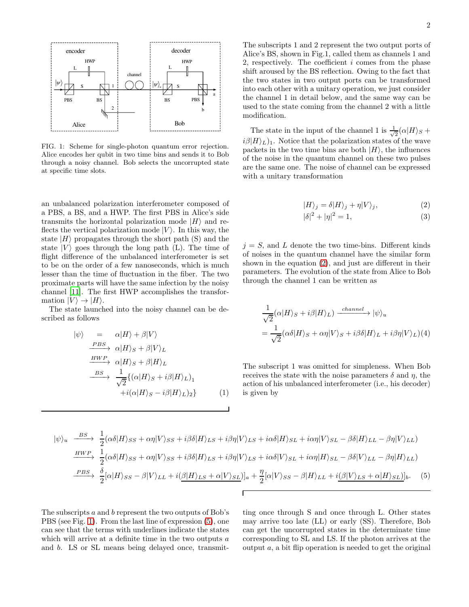

<span id="page-1-0"></span>FIG. 1: Scheme for single-photon quantum error rejection. Alice encodes her qubit in two time bins and sends it to Bob through a noisy channel. Bob selects the uncorrupted state at specific time slots.

an unbalanced polarization interferometer composed of a PBS, a BS, and a HWP. The first PBS in Alice's side transmits the horizontal polarization mode  $|H\rangle$  and reflects the vertical polarization mode  $|V\rangle$ . In this way, the state  $|H\rangle$  propagates through the short path (S) and the state  $|V\rangle$  goes through the long path (L). The time of flight difference of the unbalanced interferometer is set to be on the order of a few nanoseconds, which is much lesser than the time of fluctuation in the fiber. The two proximate parts will have the same infection by the noisy channel [\[11](#page-2-10)]. The first HWP accomplishes the transformation  $|V\rangle \rightarrow |H\rangle$ .

The state launched into the noisy channel can be described as follows

$$
\begin{aligned}\n|\psi\rangle &= \alpha|H\rangle + \beta|V\rangle \\
&\xrightarrow{PBS} \alpha|H\rangle_S + \beta|V\rangle_L \\
&\xrightarrow{HWP} \alpha|H\rangle_S + \beta|H\rangle_L \\
&\xrightarrow{BS} \frac{1}{\sqrt{2}} \{(\alpha|H\rangle_S + i\beta|H\rangle_L)_1 \\
&\quad + i(\alpha|H\rangle_S - i\beta|H\rangle_L)_2\}\n\end{aligned} \tag{1}
$$

The subscripts 1 and 2 represent the two output ports of Alice's BS, shown in Fig.1, called them as channels 1 and 2, respectively. The coefficient  $i$  comes from the phase shift aroused by the BS reflection. Owing to the fact that the two states in two output ports can be transformed into each other with a unitary operation, we just consider the channel 1 in detail below, and the same way can be used to the state coming from the channel 2 with a little modification.

The state in the input of the channel 1 is  $\frac{1}{\sqrt{2}}$  $\frac{1}{2}(\alpha|H\rangle_S +$  $i\beta|H\rangle_L$ <sub>1</sub>. Notice that the polarization states of the wave packets in the two time bins are both  $|H\rangle$ , the influences of the noise in the quantum channel on these two pulses are the same one. The noise of channel can be expressed with a unitary transformation

<span id="page-1-1"></span>
$$
|H\rangle_j = \delta |H\rangle_j + \eta |V\rangle_j,\tag{2}
$$

$$
|\delta|^2 + |\eta|^2 = 1,
$$
 (3)

 $j = S$ , and L denote the two time-bins. Different kinds of noises in the quantum channel have the similar form shown in the equation [\(2\)](#page-1-1), and just are different in their parameters. The evolution of the state from Alice to Bob through the channel 1 can be written as

$$
\frac{1}{\sqrt{2}}(\alpha|H\rangle_{S} + i\beta|H\rangle_{L}) \xrightarrow{channel} |\psi\rangle_{u}
$$

$$
= \frac{1}{\sqrt{2}}(\alpha\delta|H\rangle_{S} + \alpha\eta|V\rangle_{S} + i\beta\delta|H\rangle_{L} + i\beta\eta|V\rangle_{L})(4)
$$

The subscript 1 was omitted for simpleness. When Bob receives the state with the noise parameters  $\delta$  and  $\eta$ , the action of his unbalanced interferometer (i.e., his decoder) is given by

<span id="page-1-2"></span>
$$
|\psi\rangle_u \xrightarrow{BS} \frac{1}{2} (\alpha \delta |H\rangle_{SS} + \alpha \eta |V\rangle_{SS} + i\beta \delta |H\rangle_{LS} + i\beta \eta |V\rangle_{LS} + i\alpha \delta |H\rangle_{SL} + i\alpha \eta |V\rangle_{SL} - \beta \delta |H\rangle_{LL} - \beta \eta |V\rangle_{LL})
$$
  
\n
$$
\xrightarrow{HWP} \frac{1}{2} (\alpha \delta |H\rangle_{SS} + \alpha \eta |V\rangle_{SS} + i\beta \delta |H\rangle_{LS} + i\beta \eta |V\rangle_{LS} + i\alpha \delta |V\rangle_{SL} + i\alpha \eta |H\rangle_{SL} - \beta \delta |V\rangle_{LL} - \beta \eta |H\rangle_{LL})
$$
  
\n
$$
\xrightarrow{PBS} \frac{\delta}{2} [\alpha |H\rangle_{SS} - \beta |V\rangle_{LL} + i(\underline{\beta |H\rangle_{LS} + \alpha |V\rangle_{SL})]_a + \frac{\eta}{2} [\alpha |V\rangle_{SS} - \beta |H\rangle_{LL} + i(\underline{\beta |V\rangle_{LS} + \alpha |H\rangle_{SL})]_b.
$$
 (5)

The subscripts a and b represent the two outputs of Bob's PBS (see Fig. [1\)](#page-1-0). From the last line of expression [\(5\)](#page-1-2), one can see that the terms with underlines indicate the states which will arrive at a definite time in the two outputs  $a$ and b. LS or SL means being delayed once, transmitting once through S and once through L. Other states may arrive too late (LL) or early (SS). Therefore, Bob can get the uncorrupted states in the determinate time corresponding to SL and LS. If the photon arrives at the output a, a bit flip operation is needed to get the original